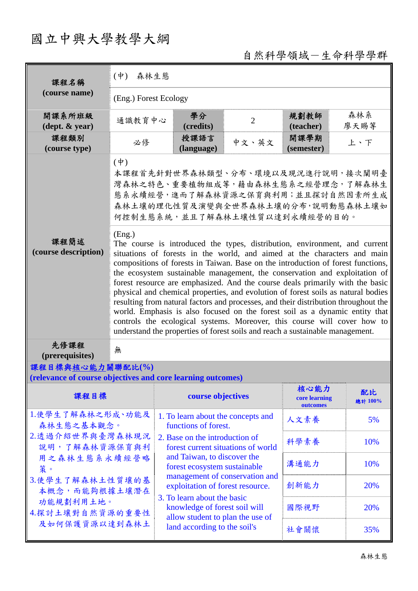# 國立中興大學教學大綱

自然科學領域-生命科學學群

| 課程名稱                                                                                                                                                                          | $(\dot{\Psi})$<br>森林生態                                                                                                                                                                                                                                                                                                                                                                                                                                                                                                                                                                                                                                                                                                                                                                                                                      |                                                                      |                |                                   |               |  |  |
|-------------------------------------------------------------------------------------------------------------------------------------------------------------------------------|---------------------------------------------------------------------------------------------------------------------------------------------------------------------------------------------------------------------------------------------------------------------------------------------------------------------------------------------------------------------------------------------------------------------------------------------------------------------------------------------------------------------------------------------------------------------------------------------------------------------------------------------------------------------------------------------------------------------------------------------------------------------------------------------------------------------------------------------|----------------------------------------------------------------------|----------------|-----------------------------------|---------------|--|--|
| (course name)                                                                                                                                                                 | (Eng.) Forest Ecology                                                                                                                                                                                                                                                                                                                                                                                                                                                                                                                                                                                                                                                                                                                                                                                                                       |                                                                      |                |                                   |               |  |  |
| 開課系所班級<br>$(\text{dept.} \& \text{ year})$                                                                                                                                    | 通識教育中心                                                                                                                                                                                                                                                                                                                                                                                                                                                                                                                                                                                                                                                                                                                                                                                                                                      | 學分<br>(credits)                                                      | $\overline{2}$ | 規劃教師<br>(teacher)                 | 森林系<br>廖天賜等   |  |  |
| 課程類別<br>(course type)                                                                                                                                                         | 必修                                                                                                                                                                                                                                                                                                                                                                                                                                                                                                                                                                                                                                                                                                                                                                                                                                          | 授課語言<br>(language)                                                   | 中文、英文          | 開課學期<br>(semester)                | 上、下           |  |  |
|                                                                                                                                                                               | $(\dagger)$<br>本課程首先針對世界森林類型、分布、環境以及現況進行說明,接次闡明臺<br>灣森林之特色、重要植物組成等,藉由森林生態系之經營理念,了解森林生<br>態系永續經營,進而了解森林資源之保育與利用;並且探討自然因素所生成<br>森林土壤的理化性質及演變與全世界森林土壤的分布,說明動態森林土壤如<br>何控制生態系統,並且了解森林土壤性質以達到永續經營的目的。                                                                                                                                                                                                                                                                                                                                                                                                                                                                                                                                                                                                                                            |                                                                      |                |                                   |               |  |  |
| 課程簡述<br>(course description)                                                                                                                                                  | (Eng.)<br>The course is introduced the types, distribution, environment, and current<br>situations of forests in the world, and aimed at the characters and main<br>compositions of forests in Taiwan. Base on the introduction of forest functions,<br>the ecosystem sustainable management, the conservation and exploitation of<br>forest resource are emphasized. And the course deals primarily with the basic<br>physical and chemical properties, and evolution of forest soils as natural bodies<br>resulting from natural factors and processes, and their distribution throughout the<br>world. Emphasis is also focused on the forest soil as a dynamic entity that<br>controls the ecological systems. Moreover, this course will cover how to<br>understand the properties of forest soils and reach a sustainable management. |                                                                      |                |                                   |               |  |  |
| 先修課程<br>(prerequisites)                                                                                                                                                       | 無                                                                                                                                                                                                                                                                                                                                                                                                                                                                                                                                                                                                                                                                                                                                                                                                                                           |                                                                      |                |                                   |               |  |  |
| 課程目標與核心能力關聯配比(%)<br>(relevance of course objectives and core learning outcomes)                                                                                               |                                                                                                                                                                                                                                                                                                                                                                                                                                                                                                                                                                                                                                                                                                                                                                                                                                             |                                                                      |                |                                   |               |  |  |
| 課程目標                                                                                                                                                                          |                                                                                                                                                                                                                                                                                                                                                                                                                                                                                                                                                                                                                                                                                                                                                                                                                                             | course objectives                                                    |                | 核心能力<br>core learning<br>outcomes | 配比<br>總計 100% |  |  |
| 1.使學生了解森林之形成、功能及<br>森林生態之基本觀念。<br>2.透過介紹世界與臺灣森林現況<br>說明,了解森林資源保育與利<br>用之森林生態系永續經營略<br>策。<br>3.使學生了解森林土性質壤的基<br>本概念,而能夠根據土壤潛在<br>功能規劃利用土地。<br>4.探討土壤對自然資源的重要性<br>及如何保護資源以達到森林土 |                                                                                                                                                                                                                                                                                                                                                                                                                                                                                                                                                                                                                                                                                                                                                                                                                                             | 1. To learn about the concepts and<br>functions of forest.           | 人文素養           | 5%                                |               |  |  |
|                                                                                                                                                                               |                                                                                                                                                                                                                                                                                                                                                                                                                                                                                                                                                                                                                                                                                                                                                                                                                                             | 2. Base on the introduction of<br>forest current situations of world |                | 科學素養                              | 10%           |  |  |
|                                                                                                                                                                               |                                                                                                                                                                                                                                                                                                                                                                                                                                                                                                                                                                                                                                                                                                                                                                                                                                             | and Taiwan, to discover the<br>forest ecosystem sustainable          |                | 溝通能力                              | 10%           |  |  |
|                                                                                                                                                                               |                                                                                                                                                                                                                                                                                                                                                                                                                                                                                                                                                                                                                                                                                                                                                                                                                                             | management of conservation and<br>exploitation of forest resource.   |                | 創新能力                              | 20%           |  |  |
|                                                                                                                                                                               |                                                                                                                                                                                                                                                                                                                                                                                                                                                                                                                                                                                                                                                                                                                                                                                                                                             | 3. To learn about the basic<br>knowledge of forest soil will         |                | 國際視野                              | 20%           |  |  |
|                                                                                                                                                                               |                                                                                                                                                                                                                                                                                                                                                                                                                                                                                                                                                                                                                                                                                                                                                                                                                                             | allow student to plan the use of<br>land according to the soil's     |                | 社會關懷                              | 35%           |  |  |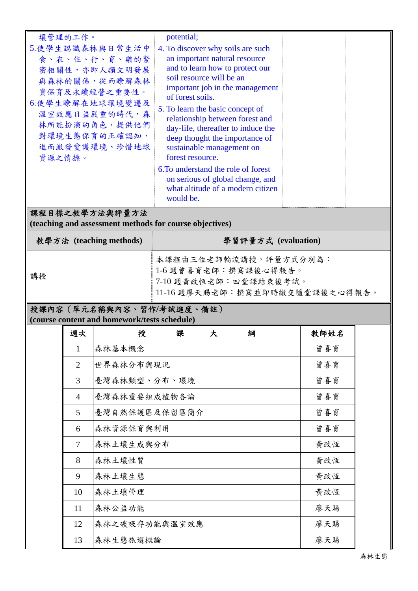| 壤管理的工作。<br>5.使學生認識森林與日常生活中<br>食、衣、住、行、育、樂的緊<br>密相關性,亦即人類文明發展<br>與森林的關係,從而瞭解森林<br>資保育及永續經營之重要性。<br>6.使學生瞭解在地球環境變遷及<br>溫室效應日益嚴重的時代,森<br>林所能扮演的角色,提供他們<br>對環境生態保育的正確認知,<br>進而激發愛護環境、珍惜地球<br>資源之情操。 | potential;<br>4. To discover why soils are such<br>an important natural resource<br>and to learn how to protect our<br>soil resource will be an<br>important job in the management<br>of forest soils.<br>5. To learn the basic concept of<br>relationship between forest and<br>day-life, thereafter to induce the<br>deep thought the importance of<br>sustainable management on<br>forest resource.<br>6. To understand the role of forest<br>on serious of global change, and |  |  |  |  |  |  |
|-------------------------------------------------------------------------------------------------------------------------------------------------------------------------------------------------|-----------------------------------------------------------------------------------------------------------------------------------------------------------------------------------------------------------------------------------------------------------------------------------------------------------------------------------------------------------------------------------------------------------------------------------------------------------------------------------|--|--|--|--|--|--|
|                                                                                                                                                                                                 | what altitude of a modern citizen<br>would be.                                                                                                                                                                                                                                                                                                                                                                                                                                    |  |  |  |  |  |  |
| 課程目標之教學方法與評量方法<br>(teaching and assessment methods for course objectives)                                                                                                                       |                                                                                                                                                                                                                                                                                                                                                                                                                                                                                   |  |  |  |  |  |  |
| 教學方法 (teaching methods)                                                                                                                                                                         | 學習評量方式 (evaluation)                                                                                                                                                                                                                                                                                                                                                                                                                                                               |  |  |  |  |  |  |
| 講授                                                                                                                                                                                              | 本課程由三位老師輪流講授,評量方式分別為:<br>1-6 週曾喜育老師:撰寫課後心得報告。<br>7-10 週黃政恆老師:四堂課結束後考試。<br>11-16 週廖天賜老師:撰寫並即時繳交隨堂課後之心得報告。                                                                                                                                                                                                                                                                                                                                                                          |  |  |  |  |  |  |
| 授课内灾 ( 留 元 夕 稱 皰 内 灾 、 翌 作 / 老 試 准 度 、 偌 註 )                                                                                                                                                    |                                                                                                                                                                                                                                                                                                                                                                                                                                                                                   |  |  |  |  |  |  |

## 授課內容(單元名稱與內容、習作**/**考試進度、備註)

**(course content and homework/tests schedule)** 

| 週次             | 授<br>課<br>綱<br>大 | 教師姓名 |
|----------------|------------------|------|
| $\mathbf{1}$   | 森林基本概念           | 曾喜育  |
| $\overline{2}$ | 世界森林分布與現況        | 曾喜育  |
| 3              | 臺灣森林類型、分布、環境     | 曾喜育  |
| $\overline{4}$ | 臺灣森林重要組成植物各論     | 曾喜育  |
| 5              | 臺灣自然保護區及保留區簡介    | 曾喜育  |
| 6              | 森林資源保育與利用        | 曾喜育  |
| 7              | 森林土壤生成與分布        | 黃政恆  |
| 8              | 森林土壤性質           | 黃政恆  |
| 9              | 森林土壤生態           | 黃政恆  |
| 10             | 森林土壤管理           | 黃政恆  |
| 11             | 森林公益功能           | 廖天賜  |
| 12             | 森林之碳吸存功能與溫室效應    | 廖天賜  |
| 13             | 森林生態旅遊概論         | 廖天賜  |